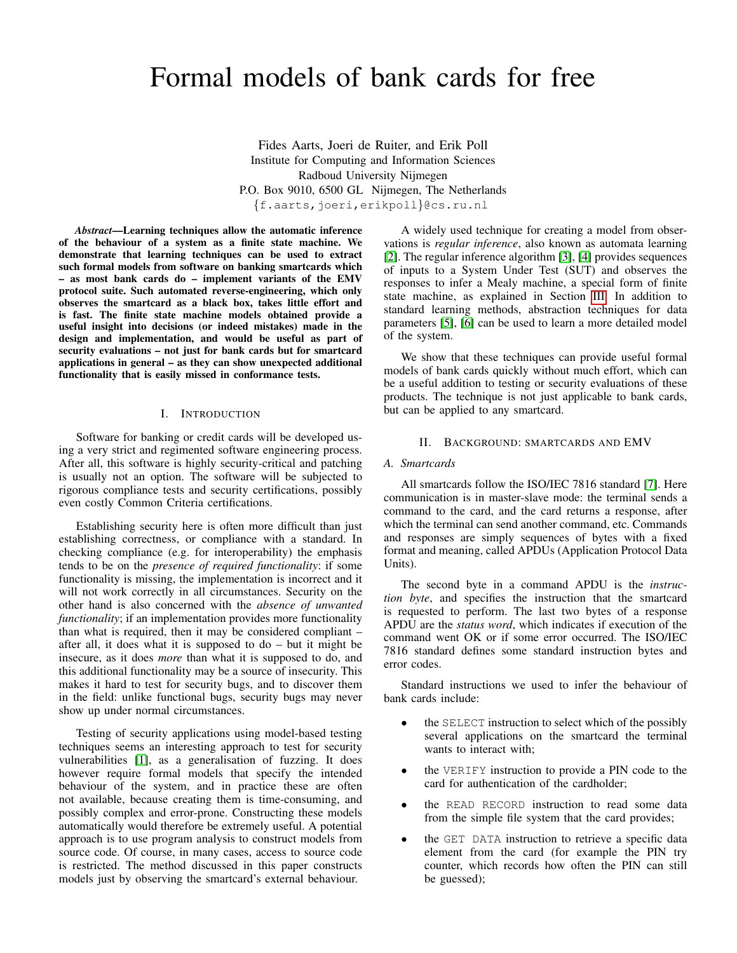# Formal models of bank cards for free

Fides Aarts, Joeri de Ruiter, and Erik Poll Institute for Computing and Information Sciences Radboud University Nijmegen P.O. Box 9010, 6500 GL Nijmegen, The Netherlands {f.aarts,joeri,erikpoll}@cs.ru.nl

*Abstract*—Learning techniques allow the automatic inference of the behaviour of a system as a finite state machine. We demonstrate that learning techniques can be used to extract such formal models from software on banking smartcards which – as most bank cards do – implement variants of the EMV protocol suite. Such automated reverse-engineering, which only observes the smartcard as a black box, takes little effort and is fast. The finite state machine models obtained provide a useful insight into decisions (or indeed mistakes) made in the design and implementation, and would be useful as part of security evaluations – not just for bank cards but for smartcard applications in general – as they can show unexpected additional functionality that is easily missed in conformance tests.

## I. INTRODUCTION

Software for banking or credit cards will be developed using a very strict and regimented software engineering process. After all, this software is highly security-critical and patching is usually not an option. The software will be subjected to rigorous compliance tests and security certifications, possibly even costly Common Criteria certifications.

Establishing security here is often more difficult than just establishing correctness, or compliance with a standard. In checking compliance (e.g. for interoperability) the emphasis tends to be on the *presence of required functionality*: if some functionality is missing, the implementation is incorrect and it will not work correctly in all circumstances. Security on the other hand is also concerned with the *absence of unwanted functionality*; if an implementation provides more functionality than what is required, then it may be considered compliant – after all, it does what it is supposed to do – but it might be insecure, as it does *more* than what it is supposed to do, and this additional functionality may be a source of insecurity. This makes it hard to test for security bugs, and to discover them in the field: unlike functional bugs, security bugs may never show up under normal circumstances.

Testing of security applications using model-based testing techniques seems an interesting approach to test for security vulnerabilities [\[1\]](#page-7-0), as a generalisation of fuzzing. It does however require formal models that specify the intended behaviour of the system, and in practice these are often not available, because creating them is time-consuming, and possibly complex and error-prone. Constructing these models automatically would therefore be extremely useful. A potential approach is to use program analysis to construct models from source code. Of course, in many cases, access to source code is restricted. The method discussed in this paper constructs models just by observing the smartcard's external behaviour.

A widely used technique for creating a model from observations is *regular inference*, also known as automata learning [\[2\]](#page-7-1). The regular inference algorithm [\[3\]](#page-7-2), [\[4\]](#page-7-3) provides sequences of inputs to a System Under Test (SUT) and observes the responses to infer a Mealy machine, a special form of finite state machine, as explained in Section [III.](#page-1-0) In addition to standard learning methods, abstraction techniques for data parameters [\[5\]](#page-7-4), [\[6\]](#page-7-5) can be used to learn a more detailed model of the system.

We show that these techniques can provide useful formal models of bank cards quickly without much effort, which can be a useful addition to testing or security evaluations of these products. The technique is not just applicable to bank cards, but can be applied to any smartcard.

## II. BACKGROUND: SMARTCARDS AND EMV

# <span id="page-0-0"></span>*A. Smartcards*

All smartcards follow the ISO/IEC 7816 standard [\[7\]](#page-7-6). Here communication is in master-slave mode: the terminal sends a command to the card, and the card returns a response, after which the terminal can send another command, etc. Commands and responses are simply sequences of bytes with a fixed format and meaning, called APDUs (Application Protocol Data Units).

The second byte in a command APDU is the *instruction byte*, and specifies the instruction that the smartcard is requested to perform. The last two bytes of a response APDU are the *status word*, which indicates if execution of the command went OK or if some error occurred. The ISO/IEC 7816 standard defines some standard instruction bytes and error codes.

Standard instructions we used to infer the behaviour of bank cards include:

- the SELECT instruction to select which of the possibly several applications on the smartcard the terminal wants to interact with;
- the VERIFY instruction to provide a PIN code to the card for authentication of the cardholder;
- the READ RECORD instruction to read some data from the simple file system that the card provides;
- the GET DATA instruction to retrieve a specific data element from the card (for example the PIN try counter, which records how often the PIN can still be guessed);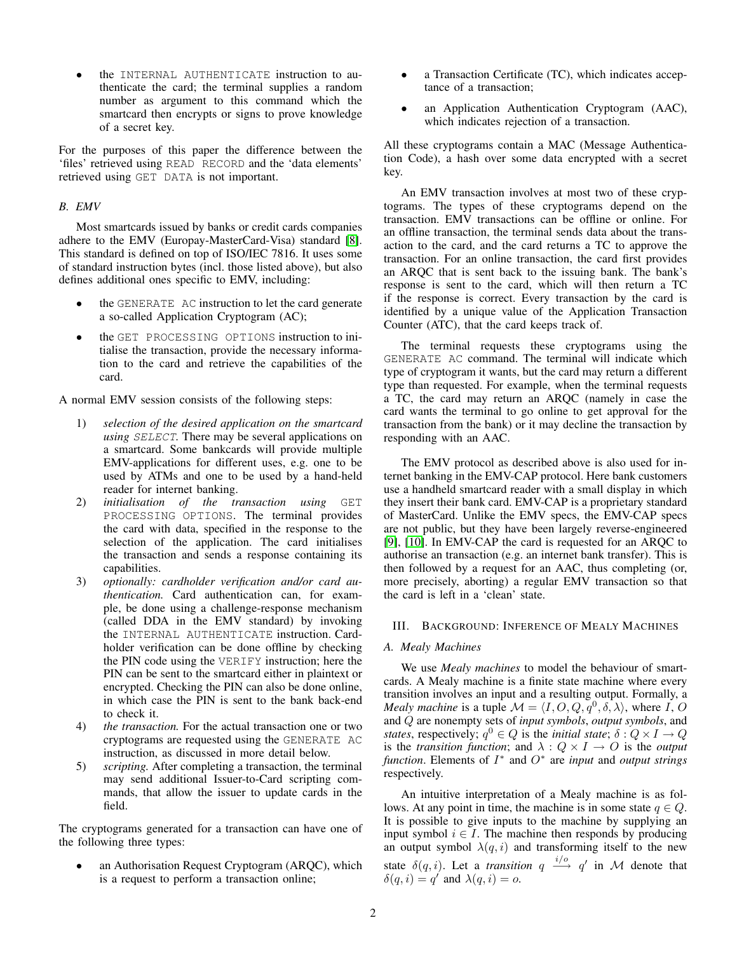• the INTERNAL AUTHENTICATE instruction to authenticate the card; the terminal supplies a random number as argument to this command which the smartcard then encrypts or signs to prove knowledge of a secret key.

For the purposes of this paper the difference between the 'files' retrieved using READ RECORD and the 'data elements' retrieved using GET DATA is not important.

# <span id="page-1-1"></span>*B. EMV*

Most smartcards issued by banks or credit cards companies adhere to the EMV (Europay-MasterCard-Visa) standard [\[8\]](#page-7-7). This standard is defined on top of ISO/IEC 7816. It uses some of standard instruction bytes (incl. those listed above), but also defines additional ones specific to EMV, including:

- the GENERATE AC instruction to let the card generate a so-called Application Cryptogram (AC);
- the GET PROCESSING OPTIONS instruction to initialise the transaction, provide the necessary information to the card and retrieve the capabilities of the card.

A normal EMV session consists of the following steps:

- 1) *selection of the desired application on the smartcard using* SELECT*.* There may be several applications on a smartcard. Some bankcards will provide multiple EMV-applications for different uses, e.g. one to be used by ATMs and one to be used by a hand-held reader for internet banking.
- 2) *initialisation of the transaction using* GET PROCESSING OPTIONS. The terminal provides the card with data, specified in the response to the selection of the application. The card initialises the transaction and sends a response containing its capabilities.
- 3) *optionally: cardholder verification and/or card authentication.* Card authentication can, for example, be done using a challenge-response mechanism (called DDA in the EMV standard) by invoking the INTERNAL AUTHENTICATE instruction. Cardholder verification can be done offline by checking the PIN code using the VERIFY instruction; here the PIN can be sent to the smartcard either in plaintext or encrypted. Checking the PIN can also be done online, in which case the PIN is sent to the bank back-end to check it.
- 4) *the transaction.* For the actual transaction one or two cryptograms are requested using the GENERATE AC instruction, as discussed in more detail below.
- 5) *scripting.* After completing a transaction, the terminal may send additional Issuer-to-Card scripting commands, that allow the issuer to update cards in the field.

The cryptograms generated for a transaction can have one of the following three types:

an Authorisation Request Cryptogram (ARQC), which is a request to perform a transaction online;

- a Transaction Certificate (TC), which indicates acceptance of a transaction;
- an Application Authentication Cryptogram (AAC), which indicates rejection of a transaction.

All these cryptograms contain a MAC (Message Authentication Code), a hash over some data encrypted with a secret key.

An EMV transaction involves at most two of these cryptograms. The types of these cryptograms depend on the transaction. EMV transactions can be offline or online. For an offline transaction, the terminal sends data about the transaction to the card, and the card returns a TC to approve the transaction. For an online transaction, the card first provides an ARQC that is sent back to the issuing bank. The bank's response is sent to the card, which will then return a TC if the response is correct. Every transaction by the card is identified by a unique value of the Application Transaction Counter (ATC), that the card keeps track of.

The terminal requests these cryptograms using the GENERATE AC command. The terminal will indicate which type of cryptogram it wants, but the card may return a different type than requested. For example, when the terminal requests a TC, the card may return an ARQC (namely in case the card wants the terminal to go online to get approval for the transaction from the bank) or it may decline the transaction by responding with an AAC.

The EMV protocol as described above is also used for internet banking in the EMV-CAP protocol. Here bank customers use a handheld smartcard reader with a small display in which they insert their bank card. EMV-CAP is a proprietary standard of MasterCard. Unlike the EMV specs, the EMV-CAP specs are not public, but they have been largely reverse-engineered [\[9\]](#page-7-8), [\[10\]](#page-7-9). In EMV-CAP the card is requested for an ARQC to authorise an transaction (e.g. an internet bank transfer). This is then followed by a request for an AAC, thus completing (or, more precisely, aborting) a regular EMV transaction so that the card is left in a 'clean' state.

# <span id="page-1-0"></span>III. BACKGROUND: INFERENCE OF MEALY MACHINES

# *A. Mealy Machines*

We use *Mealy machines* to model the behaviour of smartcards. A Mealy machine is a finite state machine where every transition involves an input and a resulting output. Formally, a *Mealy machine* is a tuple  $\mathcal{M} = \langle I, O, Q, q^0, \delta, \lambda \rangle$ , where  $I, O$ and Q are nonempty sets of *input symbols*, *output symbols*, and *states*, respectively;  $q^0 \in Q$  is the *initial state*;  $\delta: Q \times I \to Q$ is the *transition function*; and  $\lambda$  :  $Q \times I \rightarrow O$  is the *output* function. Elements of  $I^*$  and  $O^*$  are *input* and *output strings* respectively.

An intuitive interpretation of a Mealy machine is as follows. At any point in time, the machine is in some state  $q \in Q$ . It is possible to give inputs to the machine by supplying an input symbol  $i \in I$ . The machine then responds by producing an output symbol  $\lambda(q, i)$  and transforming itself to the new state  $\delta(q, i)$ . Let a *transition*  $q \stackrel{i/o}{\longrightarrow} q'$  in M denote that  $\delta(q, i) = q'$  and  $\lambda(q, i) = o$ .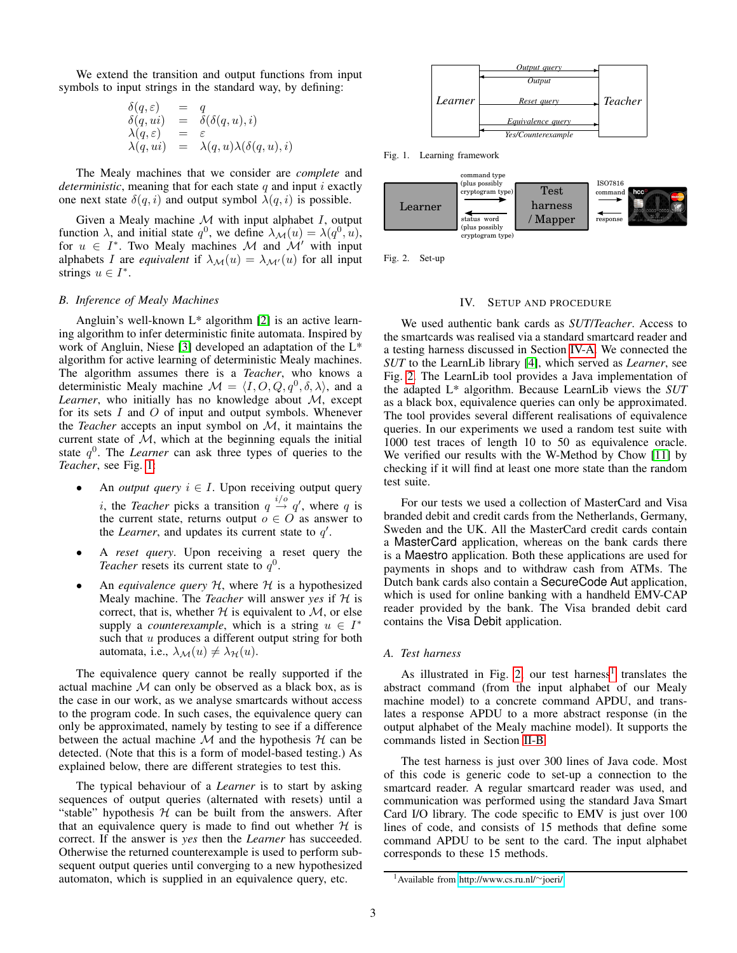We extend the transition and output functions from input symbols to input strings in the standard way, by defining:

$$
\begin{array}{rcl} \delta(q,\varepsilon)&=&q\\ \delta(q,ui)&=&\delta(\delta(q,u),i)\\ \lambda(q,\varepsilon)&=&\varepsilon\\ \lambda(q,ui)&=&\lambda(q,u)\lambda(\delta(q,u),i) \end{array}
$$

The Mealy machines that we consider are *complete* and *deterministic*, meaning that for each state  $q$  and input i exactly one next state  $\delta(q, i)$  and output symbol  $\lambda(q, i)$  is possible.

Given a Mealy machine  $M$  with input alphabet  $I$ , output function  $\lambda$ , and initial state  $q^0$ , we define  $\lambda_{\mathcal{M}}(u) = \lambda(q^0, u)$ , for  $u \in I^*$ . Two Mealy machines M and  $\mathcal{M}'$  with input alphabets I are *equivalent* if  $\lambda_{\mathcal{M}}(u) = \lambda_{\mathcal{M}'}(u)$  for all input strings  $u \in I^*$ .

#### *B. Inference of Mealy Machines*

Angluin's well-known  $L^*$  algorithm [\[2\]](#page-7-1) is an active learning algorithm to infer deterministic finite automata. Inspired by work of Angluin, Niese [\[3\]](#page-7-2) developed an adaptation of the L\* algorithm for active learning of deterministic Mealy machines. The algorithm assumes there is a *Teacher*, who knows a deterministic Mealy machine  $\mathcal{M} = \langle I, O, Q, q^0, \delta, \lambda \rangle$ , and a *Learner*, who initially has no knowledge about M, except for its sets  $I$  and  $O$  of input and output symbols. Whenever the *Teacher* accepts an input symbol on M, it maintains the current state of  $M$ , which at the beginning equals the initial state  $q^0$ . The *Learner* can ask three types of queries to the *Teacher*, see Fig. [1:](#page-2-0)

- An *output query*  $i \in I$ . Upon receiving output query i, the *Teacher* picks a transition  $q \stackrel{i/o}{\rightarrow} q'$ , where q is the current state, returns output  $o \in O$  as answer to the *Learner*, and updates its current state to  $q'$ .
- A *reset query*. Upon receiving a reset query the *Teacher* resets its current state to  $q^0$ .
- An *equivalence query*  $H$ , where  $H$  is a hypothesized Mealy machine. The *Teacher* will answer *yes* if H is correct, that is, whether  $H$  is equivalent to  $M$ , or else supply a *counterexample*, which is a string  $u \in I^*$ such that u produces a different output string for both automata, i.e.,  $\lambda_{\mathcal{M}}(u) \neq \lambda_{\mathcal{H}}(u)$ .

The equivalence query cannot be really supported if the actual machine  $M$  can only be observed as a black box, as is the case in our work, as we analyse smartcards without access to the program code. In such cases, the equivalence query can only be approximated, namely by testing to see if a difference between the actual machine  $M$  and the hypothesis  $H$  can be detected. (Note that this is a form of model-based testing.) As explained below, there are different strategies to test this.

The typical behaviour of a *Learner* is to start by asking sequences of output queries (alternated with resets) until a "stable" hypothesis  $H$  can be built from the answers. After that an equivalence query is made to find out whether  $H$  is correct. If the answer is *yes* then the *Learner* has succeeded. Otherwise the returned counterexample is used to perform subsequent output queries until converging to a new hypothesized automaton, which is supplied in an equivalence query, etc.



<span id="page-2-0"></span>Fig. 1. Learning framework



<span id="page-2-2"></span>Fig. 2. Set-up

## IV. SETUP AND PROCEDURE

We used authentic bank cards as *SUT*/*Teacher*. Access to the smartcards was realised via a standard smartcard reader and a testing harness discussed in Section [IV-A.](#page-2-1) We connected the *SUT* to the LearnLib library [\[4\]](#page-7-3), which served as *Learner*, see Fig. [2.](#page-2-2) The LearnLib tool provides a Java implementation of the adapted L\* algorithm. Because LearnLib views the *SUT* as a black box, equivalence queries can only be approximated. The tool provides several different realisations of equivalence queries. In our experiments we used a random test suite with 1000 test traces of length 10 to 50 as equivalence oracle. We verified our results with the W-Method by Chow [\[11\]](#page-7-10) by checking if it will find at least one more state than the random test suite.

For our tests we used a collection of MasterCard and Visa branded debit and credit cards from the Netherlands, Germany, Sweden and the UK. All the MasterCard credit cards contain a MasterCard application, whereas on the bank cards there is a Maestro application. Both these applications are used for payments in shops and to withdraw cash from ATMs. The Dutch bank cards also contain a SecureCode Aut application, which is used for online banking with a handheld EMV-CAP reader provided by the bank. The Visa branded debit card contains the Visa Debit application.

#### <span id="page-2-1"></span>*A. Test harness*

As illustrated in Fig. [2,](#page-2-2) our test harness<sup>[1](#page-2-3)</sup> translates the abstract command (from the input alphabet of our Mealy machine model) to a concrete command APDU, and translates a response APDU to a more abstract response (in the output alphabet of the Mealy machine model). It supports the commands listed in Section [II-B.](#page-1-1)

The test harness is just over 300 lines of Java code. Most of this code is generic code to set-up a connection to the smartcard reader. A regular smartcard reader was used, and communication was performed using the standard Java Smart Card I/O library. The code specific to EMV is just over 100 lines of code, and consists of 15 methods that define some command APDU to be sent to the card. The input alphabet corresponds to these 15 methods.

<span id="page-2-3"></span><sup>1</sup>Available from [http://www.cs.ru.nl/](http://www.cs.ru.nl/~joeri/)∼joeri/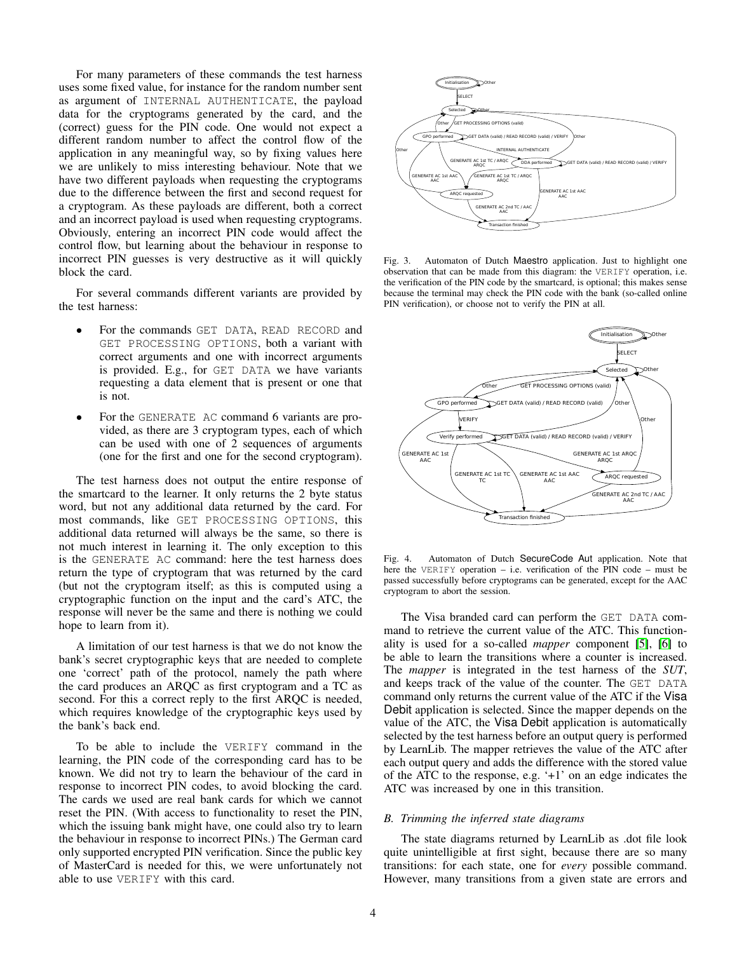For many parameters of these commands the test harness uses some fixed value, for instance for the random number sent as argument of INTERNAL AUTHENTICATE, the payload data for the cryptograms generated by the card, and the (correct) guess for the PIN code. One would not expect a different random number to affect the control flow of the application in any meaningful way, so by fixing values here we are unlikely to miss interesting behaviour. Note that we have two different payloads when requesting the cryptograms due to the difference between the first and second request for a cryptogram. As these payloads are different, both a correct and an incorrect payload is used when requesting cryptograms. Obviously, entering an incorrect PIN code would affect the control flow, but learning about the behaviour in response to incorrect PIN guesses is very destructive as it will quickly block the card.

For several commands different variants are provided by the test harness:

- For the commands GET DATA, READ RECORD and GET PROCESSING OPTIONS, both a variant with correct arguments and one with incorrect arguments is provided. E.g., for GET DATA we have variants requesting a data element that is present or one that is not.
- For the GENERATE AC command 6 variants are provided, as there are 3 cryptogram types, each of which can be used with one of 2 sequences of arguments (one for the first and one for the second cryptogram).

The test harness does not output the entire response of the smartcard to the learner. It only returns the 2 byte status word, but not any additional data returned by the card. For most commands, like GET PROCESSING OPTIONS, this additional data returned will always be the same, so there is not much interest in learning it. The only exception to this is the GENERATE AC command: here the test harness does return the type of cryptogram that was returned by the card (but not the cryptogram itself; as this is computed using a cryptographic function on the input and the card's ATC, the response will never be the same and there is nothing we could hope to learn from it).

A limitation of our test harness is that we do not know the bank's secret cryptographic keys that are needed to complete one 'correct' path of the protocol, namely the path where the card produces an ARQC as first cryptogram and a TC as second. For this a correct reply to the first ARQC is needed, which requires knowledge of the cryptographic keys used by the bank's back end.

To be able to include the VERIFY command in the learning, the PIN code of the corresponding card has to be known. We did not try to learn the behaviour of the card in response to incorrect PIN codes, to avoid blocking the card. The cards we used are real bank cards for which we cannot reset the PIN. (With access to functionality to reset the PIN, which the issuing bank might have, one could also try to learn the behaviour in response to incorrect PINs.) The German card only supported encrypted PIN verification. Since the public key of MasterCard is needed for this, we were unfortunately not able to use VERIFY with this card.



<span id="page-3-0"></span>Fig. 3. Automaton of Dutch Maestro application. Just to highlight one observation that can be made from this diagram: the VERIFY operation, i.e. the verification of the PIN code by the smartcard, is optional; this makes sense because the terminal may check the PIN code with the bank (so-called online PIN verification), or choose not to verify the PIN at all.



<span id="page-3-1"></span>Fig. 4. Automaton of Dutch SecureCode Aut application. Note that here the VERIFY operation – i.e. verification of the  $\widehat{P}IN$  code – must be passed successfully before cryptograms can be generated, except for the AAC cryptogram to abort the session.

The Visa branded card can perform the GET DATA command to retrieve the current value of the ATC. This functionality is used for a so-called *mapper* component [\[5\]](#page-7-4), [\[6\]](#page-7-5) to be able to learn the transitions where a counter is increased. The *mapper* is integrated in the test harness of the *SUT*, and keeps track of the value of the counter. The GET DATA command only returns the current value of the ATC if the Visa Debit application is selected. Since the mapper depends on the value of the ATC, the Visa Debit application is automatically selected by the test harness before an output query is performed by LearnLib. The mapper retrieves the value of the ATC after each output query and adds the difference with the stored value of the ATC to the response, e.g. '+1' on an edge indicates the ATC was increased by one in this transition.

#### *B. Trimming the inferred state diagrams*

The state diagrams returned by LearnLib as .dot file look quite unintelligible at first sight, because there are so many transitions: for each state, one for *every* possible command. However, many transitions from a given state are errors and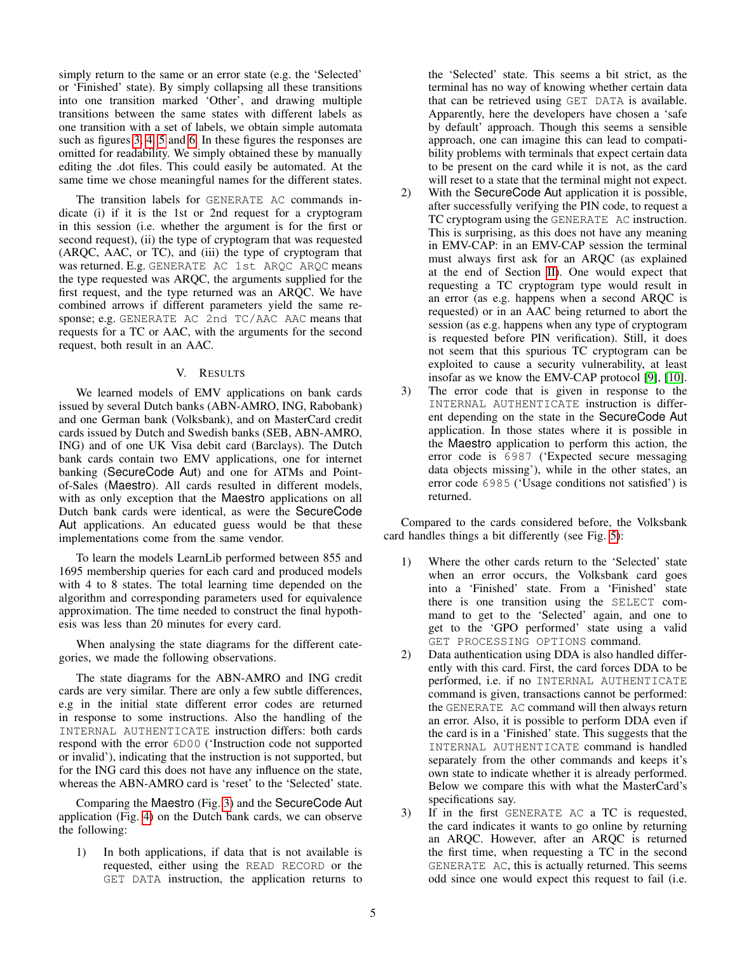simply return to the same or an error state (e.g. the 'Selected' or 'Finished' state). By simply collapsing all these transitions into one transition marked 'Other', and drawing multiple transitions between the same states with different labels as one transition with a set of labels, we obtain simple automata such as figures [3,](#page-3-0) [4,](#page-3-1) [5](#page-5-0) and [6.](#page-5-1) In these figures the responses are omitted for readability. We simply obtained these by manually editing the .dot files. This could easily be automated. At the same time we chose meaningful names for the different states.

The transition labels for GENERATE AC commands indicate (i) if it is the 1st or 2nd request for a cryptogram in this session (i.e. whether the argument is for the first or second request), (ii) the type of cryptogram that was requested (ARQC, AAC, or TC), and (iii) the type of cryptogram that was returned. E.g. GENERATE AC 1st ARQC ARQC means the type requested was ARQC, the arguments supplied for the first request, and the type returned was an ARQC. We have combined arrows if different parameters yield the same response; e.g. GENERATE AC 2nd TC/AAC AAC means that requests for a TC or AAC, with the arguments for the second request, both result in an AAC.

# V. RESULTS

We learned models of EMV applications on bank cards issued by several Dutch banks (ABN-AMRO, ING, Rabobank) and one German bank (Volksbank), and on MasterCard credit cards issued by Dutch and Swedish banks (SEB, ABN-AMRO, ING) and of one UK Visa debit card (Barclays). The Dutch bank cards contain two EMV applications, one for internet banking (SecureCode Aut) and one for ATMs and Pointof-Sales (Maestro). All cards resulted in different models, with as only exception that the Maestro applications on all Dutch bank cards were identical, as were the SecureCode Aut applications. An educated guess would be that these implementations come from the same vendor.

To learn the models LearnLib performed between 855 and 1695 membership queries for each card and produced models with 4 to 8 states. The total learning time depended on the algorithm and corresponding parameters used for equivalence approximation. The time needed to construct the final hypothesis was less than 20 minutes for every card.

When analysing the state diagrams for the different categories, we made the following observations.

The state diagrams for the ABN-AMRO and ING credit cards are very similar. There are only a few subtle differences, e.g in the initial state different error codes are returned in response to some instructions. Also the handling of the INTERNAL AUTHENTICATE instruction differs: both cards respond with the error 6D00 ('Instruction code not supported or invalid'), indicating that the instruction is not supported, but for the ING card this does not have any influence on the state, whereas the ABN-AMRO card is 'reset' to the 'Selected' state.

Comparing the Maestro (Fig. [3\)](#page-3-0) and the SecureCode Aut application (Fig. [4\)](#page-3-1) on the Dutch bank cards, we can observe the following:

1) In both applications, if data that is not available is requested, either using the READ RECORD or the GET DATA instruction, the application returns to

the 'Selected' state. This seems a bit strict, as the terminal has no way of knowing whether certain data that can be retrieved using GET DATA is available. Apparently, here the developers have chosen a 'safe by default' approach. Though this seems a sensible approach, one can imagine this can lead to compatibility problems with terminals that expect certain data to be present on the card while it is not, as the card will reset to a state that the terminal might not expect.

- 2) With the SecureCode Aut application it is possible, after successfully verifying the PIN code, to request a TC cryptogram using the GENERATE AC instruction. This is surprising, as this does not have any meaning in EMV-CAP: in an EMV-CAP session the terminal must always first ask for an ARQC (as explained at the end of Section [II\)](#page-0-0). One would expect that requesting a TC cryptogram type would result in an error (as e.g. happens when a second ARQC is requested) or in an AAC being returned to abort the session (as e.g. happens when any type of cryptogram is requested before PIN verification). Still, it does not seem that this spurious TC cryptogram can be exploited to cause a security vulnerability, at least insofar as we know the EMV-CAP protocol [\[9\]](#page-7-8), [\[10\]](#page-7-9).
- 3) The error code that is given in response to the INTERNAL AUTHENTICATE instruction is different depending on the state in the SecureCode Aut application. In those states where it is possible in the Maestro application to perform this action, the error code is 6987 ('Expected secure messaging data objects missing'), while in the other states, an error code 6985 ('Usage conditions not satisfied') is returned.

Compared to the cards considered before, the Volksbank card handles things a bit differently (see Fig. [5\)](#page-5-0):

- 1) Where the other cards return to the 'Selected' state when an error occurs, the Volksbank card goes into a 'Finished' state. From a 'Finished' state there is one transition using the SELECT command to get to the 'Selected' again, and one to get to the 'GPO performed' state using a valid GET PROCESSING OPTIONS command.
- 2) Data authentication using DDA is also handled differently with this card. First, the card forces DDA to be performed, i.e. if no INTERNAL AUTHENTICATE command is given, transactions cannot be performed: the GENERATE AC command will then always return an error. Also, it is possible to perform DDA even if the card is in a 'Finished' state. This suggests that the INTERNAL AUTHENTICATE command is handled separately from the other commands and keeps it's own state to indicate whether it is already performed. Below we compare this with what the MasterCard's specifications say.
- 3) If in the first GENERATE AC a TC is requested, the card indicates it wants to go online by returning an ARQC. However, after an ARQC is returned the first time, when requesting a TC in the second GENERATE AC, this is actually returned. This seems odd since one would expect this request to fail (i.e.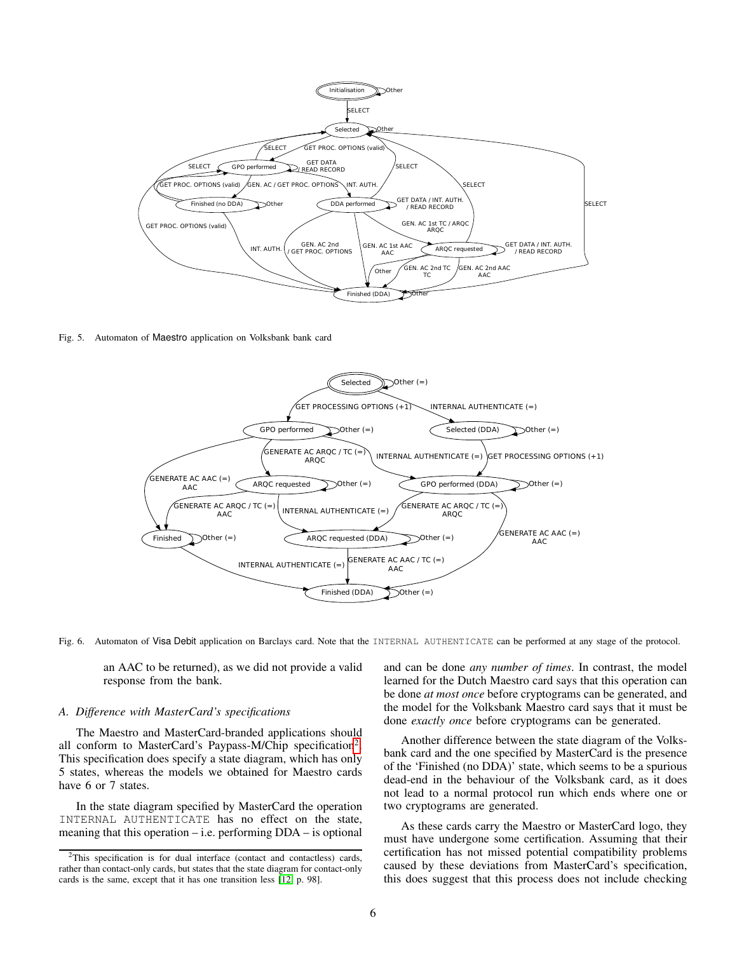

Fig. 5. Automaton of Maestro application on Volksbank bank card

<span id="page-5-0"></span>

Fig. 6. Automaton of Visa Debit application on Barclays card. Note that the INTERNAL AUTHENTICATE can be performed at any stage of the protocol.

<span id="page-5-1"></span>an AAC to be returned), as we did not provide a valid response from the bank.

#### *A. Difference with MasterCard's specifications*

The Maestro and MasterCard-branded applications should all conform to MasterCard's Paypass-M/Chip specification<sup>[2](#page-5-2)</sup>. This specification does specify a state diagram, which has only 5 states, whereas the models we obtained for Maestro cards have 6 or 7 states.

In the state diagram specified by MasterCard the operation INTERNAL AUTHENTICATE has no effect on the state, meaning that this operation – i.e. performing DDA – is optional

and can be done *any number of times*. In contrast, the model learned for the Dutch Maestro card says that this operation can be done *at most once* before cryptograms can be generated, and the model for the Volksbank Maestro card says that it must be done *exactly once* before cryptograms can be generated.

Another difference between the state diagram of the Volksbank card and the one specified by MasterCard is the presence of the 'Finished (no DDA)' state, which seems to be a spurious dead-end in the behaviour of the Volksbank card, as it does not lead to a normal protocol run which ends where one or two cryptograms are generated.

As these cards carry the Maestro or MasterCard logo, they must have undergone some certification. Assuming that their certification has not missed potential compatibility problems caused by these deviations from MasterCard's specification, this does suggest that this process does not include checking

<span id="page-5-2"></span> $2$ This specification is for dual interface (contact and contactless) cards, rather than contact-only cards, but states that the state diagram for contact-only cards is the same, except that it has one transition less [\[12,](#page-7-11) p. 98].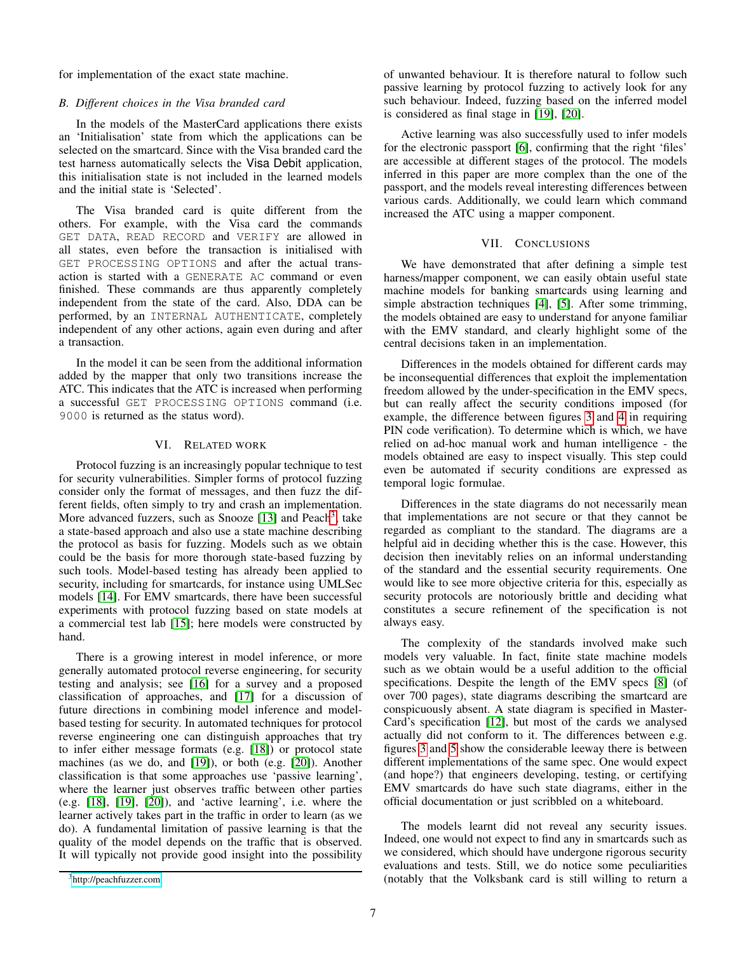for implementation of the exact state machine.

# *B. Different choices in the Visa branded card*

In the models of the MasterCard applications there exists an 'Initialisation' state from which the applications can be selected on the smartcard. Since with the Visa branded card the test harness automatically selects the Visa Debit application, this initialisation state is not included in the learned models and the initial state is 'Selected'.

The Visa branded card is quite different from the others. For example, with the Visa card the commands GET DATA, READ RECORD and VERIFY are allowed in all states, even before the transaction is initialised with GET PROCESSING OPTIONS and after the actual transaction is started with a GENERATE AC command or even finished. These commands are thus apparently completely independent from the state of the card. Also, DDA can be performed, by an INTERNAL AUTHENTICATE, completely independent of any other actions, again even during and after a transaction.

In the model it can be seen from the additional information added by the mapper that only two transitions increase the ATC. This indicates that the ATC is increased when performing a successful GET PROCESSING OPTIONS command (i.e. 9000 is returned as the status word).

## VI. RELATED WORK

Protocol fuzzing is an increasingly popular technique to test for security vulnerabilities. Simpler forms of protocol fuzzing consider only the format of messages, and then fuzz the different fields, often simply to try and crash an implementation. More advanced fuzzers, such as Snooze [\[13\]](#page-7-12) and Peach<sup>[3](#page-6-0)</sup>, take a state-based approach and also use a state machine describing the protocol as basis for fuzzing. Models such as we obtain could be the basis for more thorough state-based fuzzing by such tools. Model-based testing has already been applied to security, including for smartcards, for instance using UMLSec models [\[14\]](#page-7-13). For EMV smartcards, there have been successful experiments with protocol fuzzing based on state models at a commercial test lab [\[15\]](#page-7-14); here models were constructed by hand.

There is a growing interest in model inference, or more generally automated protocol reverse engineering, for security testing and analysis; see [\[16\]](#page-7-15) for a survey and a proposed classification of approaches, and [\[17\]](#page-7-16) for a discussion of future directions in combining model inference and modelbased testing for security. In automated techniques for protocol reverse engineering one can distinguish approaches that try to infer either message formats (e.g. [\[18\]](#page-7-17)) or protocol state machines (as we do, and [\[19\]](#page-7-18)), or both (e.g. [\[20\]](#page-7-19)). Another classification is that some approaches use 'passive learning', where the learner just observes traffic between other parties (e.g. [\[18\]](#page-7-17), [\[19\]](#page-7-18), [\[20\]](#page-7-19)), and 'active learning', i.e. where the learner actively takes part in the traffic in order to learn (as we do). A fundamental limitation of passive learning is that the quality of the model depends on the traffic that is observed. It will typically not provide good insight into the possibility of unwanted behaviour. It is therefore natural to follow such passive learning by protocol fuzzing to actively look for any such behaviour. Indeed, fuzzing based on the inferred model is considered as final stage in [\[19\]](#page-7-18), [\[20\]](#page-7-19).

Active learning was also successfully used to infer models for the electronic passport [\[6\]](#page-7-5), confirming that the right 'files' are accessible at different stages of the protocol. The models inferred in this paper are more complex than the one of the passport, and the models reveal interesting differences between various cards. Additionally, we could learn which command increased the ATC using a mapper component.

## VII. CONCLUSIONS

We have demonstrated that after defining a simple test harness/mapper component, we can easily obtain useful state machine models for banking smartcards using learning and simple abstraction techniques [\[4\]](#page-7-3), [\[5\]](#page-7-4). After some trimming, the models obtained are easy to understand for anyone familiar with the EMV standard, and clearly highlight some of the central decisions taken in an implementation.

Differences in the models obtained for different cards may be inconsequential differences that exploit the implementation freedom allowed by the under-specification in the EMV specs, but can really affect the security conditions imposed (for example, the difference between figures [3](#page-3-0) and [4](#page-3-1) in requiring PIN code verification). To determine which is which, we have relied on ad-hoc manual work and human intelligence - the models obtained are easy to inspect visually. This step could even be automated if security conditions are expressed as temporal logic formulae.

Differences in the state diagrams do not necessarily mean that implementations are not secure or that they cannot be regarded as compliant to the standard. The diagrams are a helpful aid in deciding whether this is the case. However, this decision then inevitably relies on an informal understanding of the standard and the essential security requirements. One would like to see more objective criteria for this, especially as security protocols are notoriously brittle and deciding what constitutes a secure refinement of the specification is not always easy.

The complexity of the standards involved make such models very valuable. In fact, finite state machine models such as we obtain would be a useful addition to the official specifications. Despite the length of the EMV specs [\[8\]](#page-7-7) (of over 700 pages), state diagrams describing the smartcard are conspicuously absent. A state diagram is specified in Master-Card's specification [\[12\]](#page-7-11), but most of the cards we analysed actually did not conform to it. The differences between e.g. figures [3](#page-3-0) and [5](#page-5-0) show the considerable leeway there is between different implementations of the same spec. One would expect (and hope?) that engineers developing, testing, or certifying EMV smartcards do have such state diagrams, either in the official documentation or just scribbled on a whiteboard.

The models learnt did not reveal any security issues. Indeed, one would not expect to find any in smartcards such as we considered, which should have undergone rigorous security evaluations and tests. Still, we do notice some peculiarities (notably that the Volksbank card is still willing to return a

<span id="page-6-0"></span><sup>3</sup><http://peachfuzzer.com>